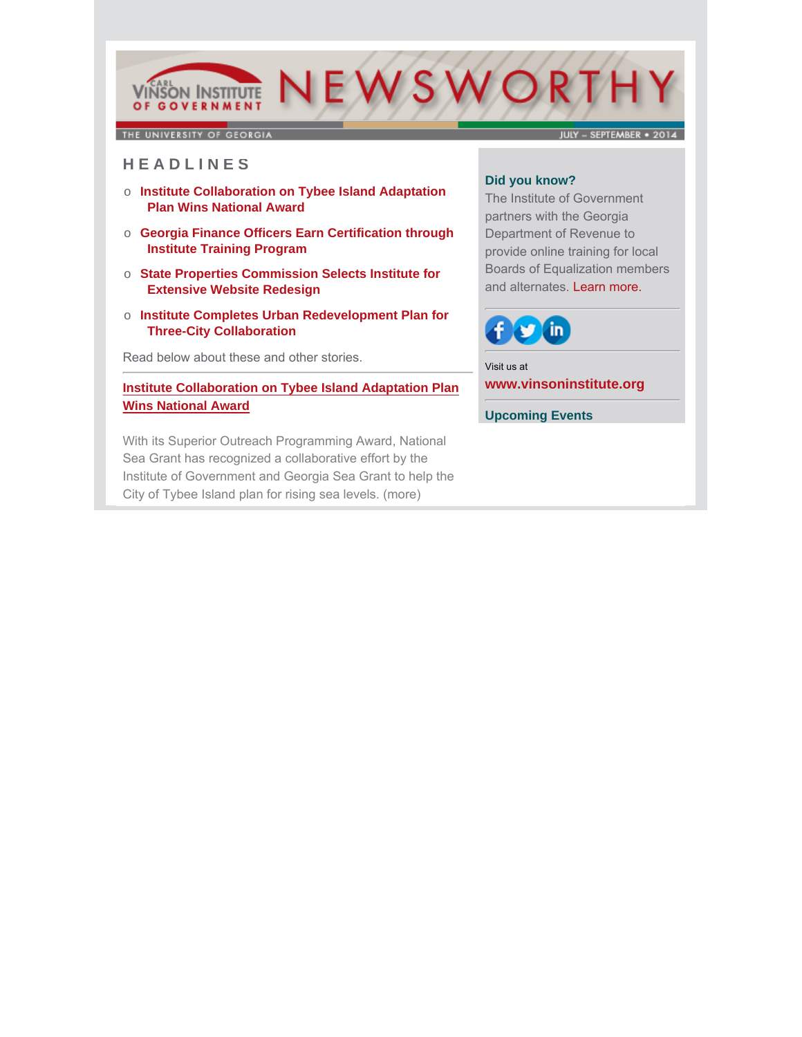# NEWSWORTH **VINSON INSTITUTE** OF GOVERNMENT

THE UNIVERSITY OF GEORGIA

**JULY - SEPTEMBER + 2014** 

# **H E A D L I N E S**

- o **Institute Collaboration on Tybee Island Adaptation Plan Wins National Award**
- o **Georgia Finance Officers Earn Certification through Institute Training Program**
- o **State Properties Commission Selects Institute for Extensive Website Redesign**
- o **Institute Completes Urban Redevelopment Plan for Three-City Collaboration**

Read below about these and other stories.

# **[Institute Collaboration on Tybee Island Adaptation Plan](http://cviog.uga.edu/news/spotlights/092914-tybee.html) Wins National Award**

With its Superior Outreach Programming Award, National Sea Grant has recognized a collaborative effort by the Institute of Government and Georgia Sea Grant to help the City of Tybee Island plan for rising sea levels. (more)

#### **Did you know?**

The Institute of Government partners with the Georgia Department of Revenue to provide online training for local Boards of Equalization members and alternates. Learn more.



Visit us at **[www.vinsoninstitute.org](http://www.cviog.uga.edu)**

**Upcoming Events**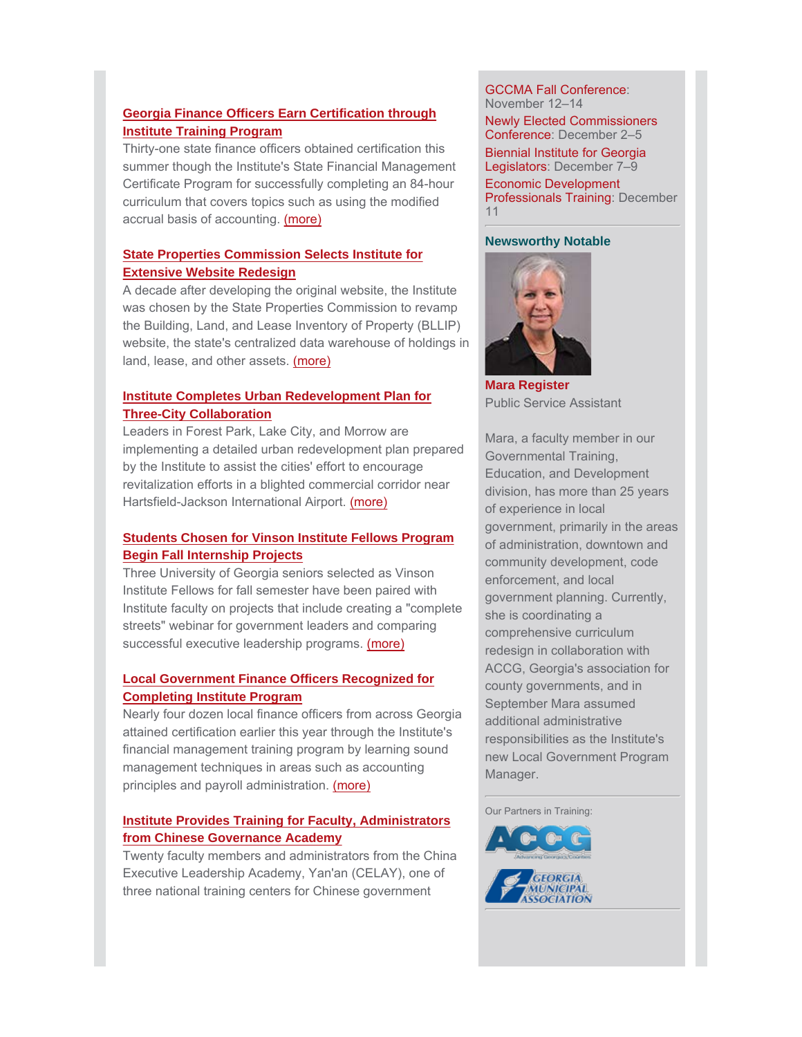### **Georgia Finance Officers Earn Certification through Institute Training Program**

Thirty-one state finance officers obtained certification this [summer though the Institute's State Financial Management](http://cviog.uga.edu/news/spotlights/091114-finance.html) Certificate Program for successfully completing an 84-hour curriculum that covers topics such as using the modified accrual basis of accounting. (more)

# **State Properties Commission Selects Institute for Extensive Website Redesign**

A decade after developing the original website, the Institute was chosen by the State Properties Commission to revamp the Building, Land, and Lease Inventory of Property (BLLIP) [website, the state's centralized data warehouse of holdings in](http://www.cviog.uga.edu/news/spotlights/070914-redesign.html) land, lease, and other assets. (more)

### **Institute Completes Urban Redevelopment Plan for Three-City Collaboration**

Leaders in Forest Park, Lake City, and Morrow are [implementing a detailed urban redevelopment plan prepared](http://cviog.uga.edu/news/spotlights/092214-urban.html) by the Institute to assist the cities' effort to encourage revitalization efforts in a blighted commercial corridor near Hartsfield-Jackson International Airport. (more)

# **Students Chosen for Vinson Institute Fellows Program Begin Fall Internship Projects**

Three University of Georgia seniors selected as Vinson Institute Fellows for fall semester have been paired with [Institute faculty on projects that include creating a "complete](http://cviog.uga.edu/news/spotlights/091814-cohort.html) streets" webinar for government leaders and comparing successful executive leadership programs. (more)

#### **Local Government Finance Officers Recognized for Completing Institute Program**

[Nearly four dozen local finance officers from across Georgia](http://www.cviog.uga.edu/news/spotlights/080414-finance-officers.html) attained certification earlier this year through the Institute's financial management training program by learning sound management techniques in areas such as accounting principles and payroll administration. (more)

#### **Institute Provides Training for Faculty, Administrators from Chinese Governance Academy**

[Twenty faculty members and administrators from the China](http://www.cviog.uga.edu/news/spotlights/091514-chinese-governance.html) Executive Leadership Academy, Yan'an (CELAY), one of three national training centers for Chinese government

#### GCCMA Fall Conference: November 12–14

Newly Elected Commissioners Conference: December 2–5

Biennial Institute for Georgia Legislators: December 7–9

Economic Development Professionals Training: December 11

#### **Newsworthy Notable**



**[Mara Register](http://www.cviog.uga.edu/about-us/faculty-staff/mara-shaw.html)** Public Service Assistant

Mara, a faculty member in our Governmental Training, Education, and Development division, has more than 25 years of experience in local government, primarily in the areas of administration, downtown and community development, code enforcement, and local government planning. Currently, she is coordinating a comprehensive curriculum redesign in collaboration with ACCG, Georgia's association for county governments, and in September Mara assumed additional administrative responsibilities as the Institute's new Local Government Program Manager.

Our Partners in Training: